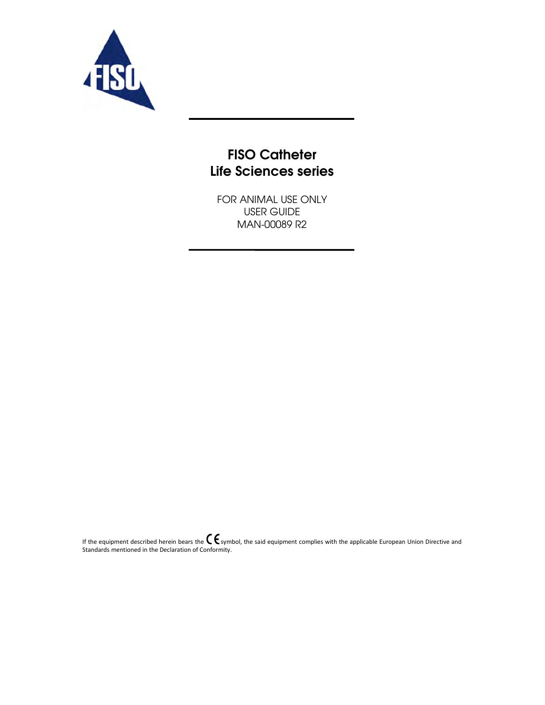

# **FISO Catheter** Life Sciences series

FOR ANIMAL USE ONLY USER GUIDE MAN-00089 R2

If the equipment described herein bears the  $\blacktriangle\blacktriangledown$  symbol, the said equipment complies with the applicable European Union Directive and Standards mentioned in the Declaration of Conformity.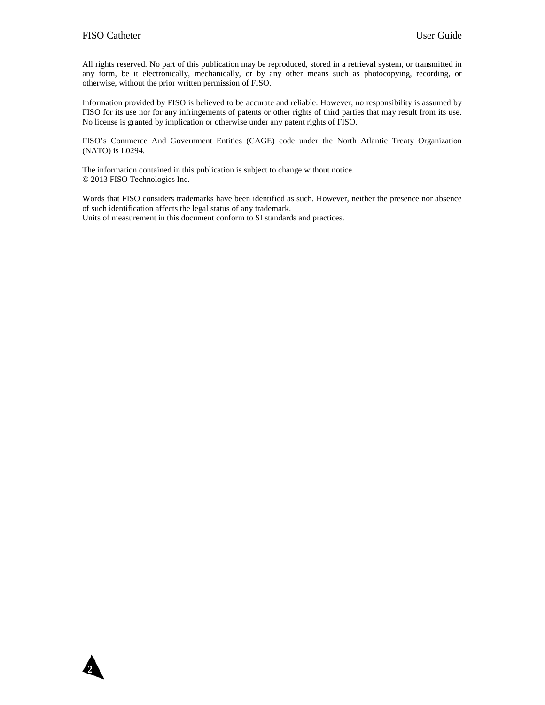**2**

All rights reserved. No part of this publication may be reproduced, stored in a retrieval system, or transmitted in any form, be it electronically, mechanically, or by any other means such as photocopying, recording, or otherwise, without the prior written permission of FISO.

Information provided by FISO is believed to be accurate and reliable. However, no responsibility is assumed by FISO for its use nor for any infringements of patents or other rights of third parties that may result from its use. No license is granted by implication or otherwise under any patent rights of FISO.

FISO's Commerce And Government Entities (CAGE) code under the North Atlantic Treaty Organization (NATO) is L0294.

The information contained in this publication is subject to change without notice. © 2013 FISO Technologies Inc.

Words that FISO considers trademarks have been identified as such. However, neither the presence nor absence of such identification affects the legal status of any trademark. Units of measurement in this document conform to SI standards and practices.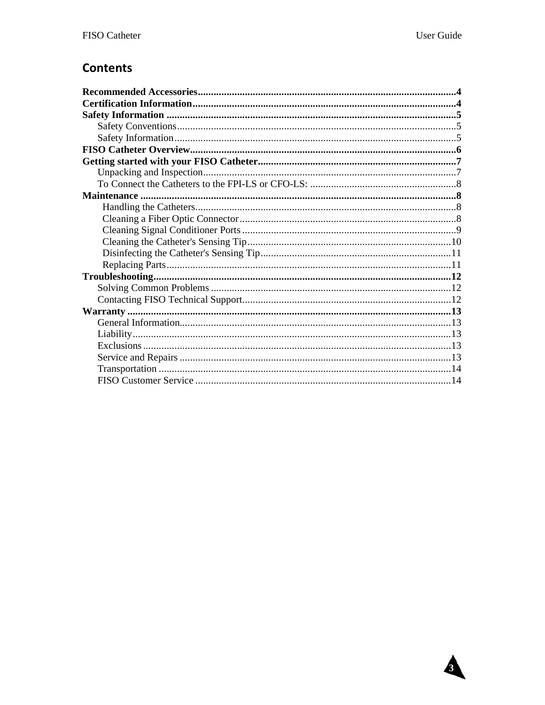Δ

# **Contents**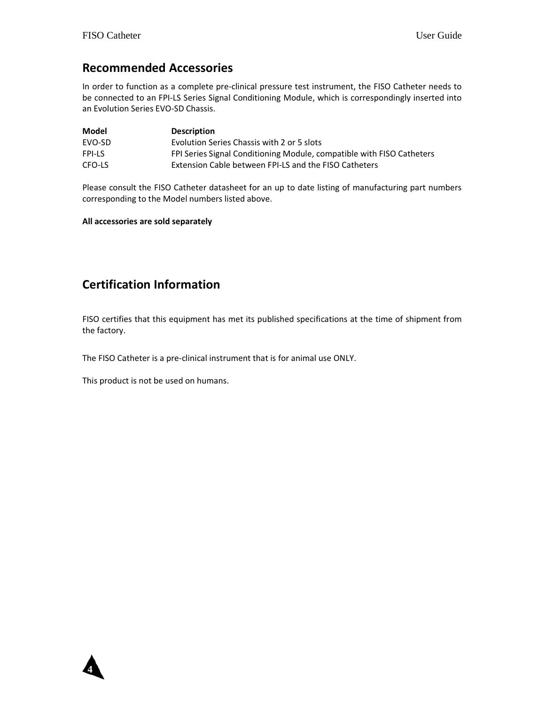## Recommended Accessories

In order to function as a complete pre-clinical pressure test instrument, the FISO Catheter needs to be connected to an FPI-LS Series Signal Conditioning Module, which is correspondingly inserted into an Evolution Series EVO-SD Chassis.

| Model         | <b>Description</b>                                                    |
|---------------|-----------------------------------------------------------------------|
| <b>FVO-SD</b> | Evolution Series Chassis with 2 or 5 slots                            |
| <b>FPI-LS</b> | FPI Series Signal Conditioning Module, compatible with FISO Catheters |
| CFO-LS        | Extension Cable between FPI-LS and the FISO Catheters                 |

Please consult the FISO Catheter datasheet for an up to date listing of manufacturing part numbers corresponding to the Model numbers listed above.

#### All accessories are sold separately

# Certification Information

FISO certifies that this equipment has met its published specifications at the time of shipment from the factory.

The FISO Catheter is a pre-clinical instrument that is for animal use ONLY.

This product is not be used on humans.

 **4**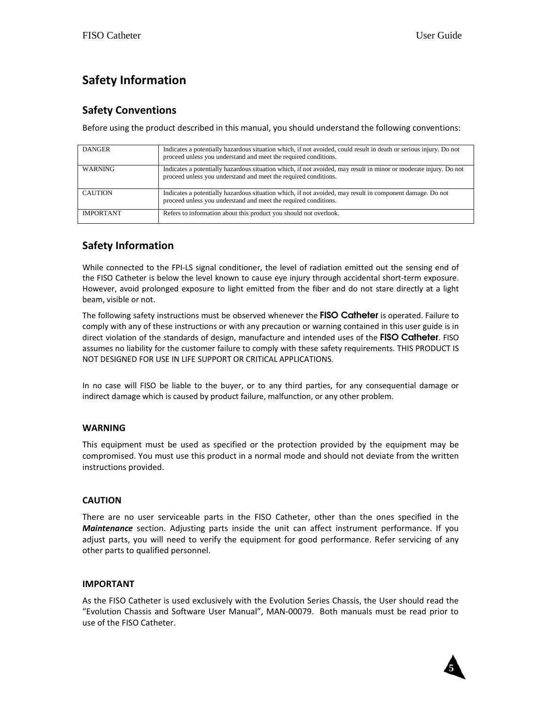# Safety Information

## Safety Conventions

Before using the product described in this manual, you should understand the following conventions:

| <b>DANGER</b>    | Indicates a potentially hazardous situation which, if not avoided, could result in death or serious injury. Do not<br>proceed unless you understand and meet the required conditions. |
|------------------|---------------------------------------------------------------------------------------------------------------------------------------------------------------------------------------|
| <b>WARNING</b>   | Indicates a potentially hazardous situation which, if not avoided, may result in minor or moderate injury. Do not<br>proceed unless you understand and meet the required conditions.  |
| CAUTION          | Indicates a potentially hazardous situation which, if not avoided, may result in component damage. Do not<br>proceed unless you understand and meet the required conditions.          |
| <b>IMPORTANT</b> | Refers to information about this product you should not overlook.                                                                                                                     |

## Safety Information

While connected to the FPI-LS signal conditioner, the level of radiation emitted out the sensing end of the FISO Catheter is below the level known to cause eye injury through accidental short-term exposure. However, avoid prolonged exposure to light emitted from the fiber and do not stare directly at a light beam, visible or not.

The following safety instructions must be observed whenever the FISO Catheter is operated. Failure to comply with any of these instructions or with any precaution or warning contained in this user guide is in direct violation of the standards of design, manufacture and intended uses of the FISO Catheter. FISO assumes no liability for the customer failure to comply with these safety requirements. THIS PRODUCT IS NOT DESIGNED FOR USE IN LIFE SUPPORT OR CRITICAL APPLICATIONS.

In no case will FISO be liable to the buyer, or to any third parties, for any consequential damage or indirect damage which is caused by product failure, malfunction, or any other problem.

## WARNING

This equipment must be used as specified or the protection provided by the equipment may be compromised. You must use this product in a normal mode and should not deviate from the written instructions provided.

## CAUTION

There are no user serviceable parts in the FISO Catheter, other than the ones specified in the **Maintenance** section. Adjusting parts inside the unit can affect instrument performance. If you adjust parts, you will need to verify the equipment for good performance. Refer servicing of any other parts to qualified personnel.

### IMPORTANT

As the FISO Catheter is used exclusively with the Evolution Series Chassis, the User should read the "Evolution Chassis and Software User Manual", MAN-00079. Both manuals must be read prior to use of the FISO Catheter.

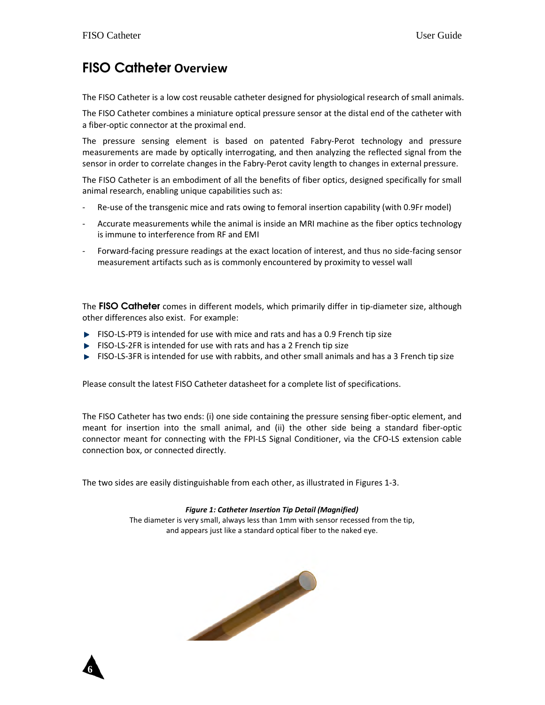# FISO Catheter Overview

The FISO Catheter is a low cost reusable catheter designed for physiological research of small animals.

The FISO Catheter combines a miniature optical pressure sensor at the distal end of the catheter with a fiber-optic connector at the proximal end.

The pressure sensing element is based on patented Fabry-Perot technology and pressure measurements are made by optically interrogating, and then analyzing the reflected signal from the sensor in order to correlate changes in the Fabry-Perot cavity length to changes in external pressure.

The FISO Catheter is an embodiment of all the benefits of fiber optics, designed specifically for small animal research, enabling unique capabilities such as:

- Re-use of the transgenic mice and rats owing to femoral insertion capability (with 0.9Fr model)
- Accurate measurements while the animal is inside an MRI machine as the fiber optics technology is immune to interference from RF and EMI
- Forward-facing pressure readings at the exact location of interest, and thus no side-facing sensor measurement artifacts such as is commonly encountered by proximity to vessel wall

The FISO Catheter comes in different models, which primarily differ in tip-diameter size, although other differences also exist. For example:

- $\blacktriangleright$  FISO-LS-PT9 is intended for use with mice and rats and has a 0.9 French tip size
- $\blacktriangleright$  FISO-LS-2FR is intended for use with rats and has a 2 French tip size
- FISO-LS-3FR is intended for use with rabbits, and other small animals and has a 3 French tip size

Please consult the latest FISO Catheter datasheet for a complete list of specifications.

The FISO Catheter has two ends: (i) one side containing the pressure sensing fiber-optic element, and meant for insertion into the small animal, and (ii) the other side being a standard fiber-optic connector meant for connecting with the FPI-LS Signal Conditioner, via the CFO-LS extension cable connection box, or connected directly.

The two sides are easily distinguishable from each other, as illustrated in Figures 1-3.

#### Figure 1: Catheter Insertion Tip Detail (Magnified)

The diameter is very small, always less than 1mm with sensor recessed from the tip, and appears just like a standard optical fiber to the naked eye.



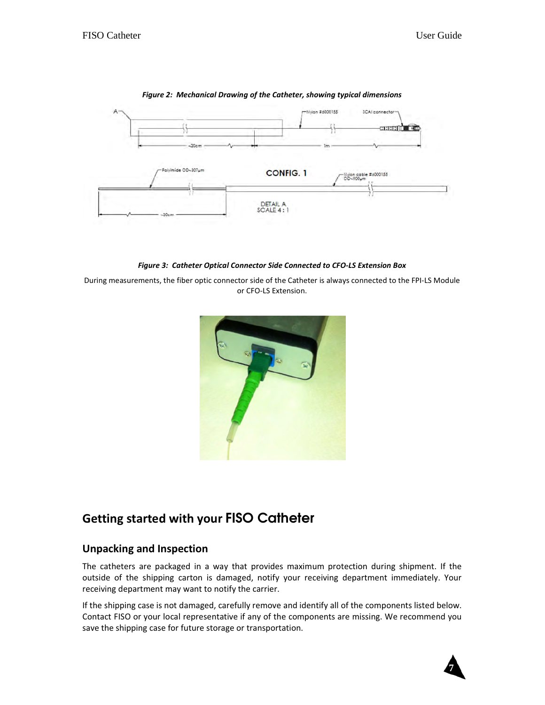

#### Figure 2: Mechanical Drawing of the Catheter, showing typical dimensions

Figure 3: Catheter Optical Connector Side Connected to CFO-LS Extension Box

During measurements, the fiber optic connector side of the Catheter is always connected to the FPI-LS Module or CFO-LS Extension.



# Getting started with your FISO Catheter

## Unpacking and Inspection

The catheters are packaged in a way that provides maximum protection during shipment. If the outside of the shipping carton is damaged, notify your receiving department immediately. Your receiving department may want to notify the carrier.

If the shipping case is not damaged, carefully remove and identify all of the components listed below. Contact FISO or your local representative if any of the components are missing. We recommend you save the shipping case for future storage or transportation.

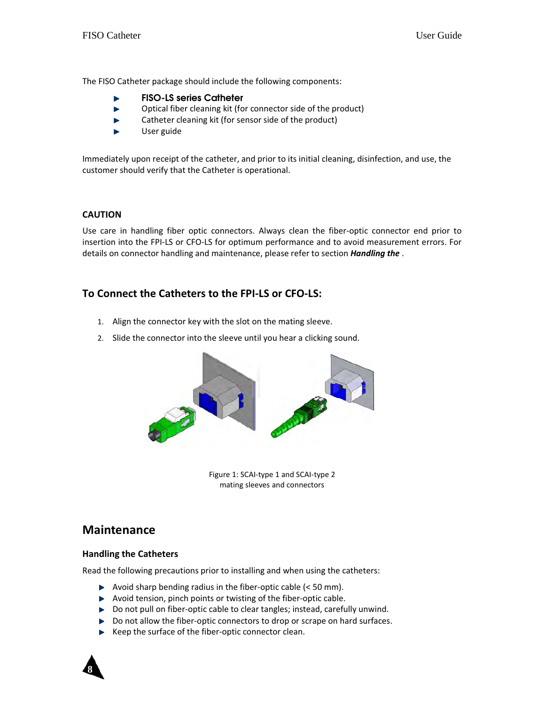The FISO Catheter package should include the following components:

- FISO-LS series Catheter
- Optical fiber cleaning kit (for connector side of the product) ь
- Catheter cleaning kit (for sensor side of the product) ь
- User guide ь

Immediately upon receipt of the catheter, and prior to its initial cleaning, disinfection, and use, the customer should verify that the Catheter is operational.

#### CAUTION

Use care in handling fiber optic connectors. Always clean the fiber-optic connector end prior to insertion into the FPI-LS or CFO-LS for optimum performance and to avoid measurement errors. For details on connector handling and maintenance, please refer to section *Handling the*.

## To Connect the Catheters to the FPI-LS or CFO-LS:

- 1. Align the connector key with the slot on the mating sleeve.
- 2. Slide the connector into the sleeve until you hear a clicking sound.



Figure 1: SCAI-type 1 and SCAI-type 2 mating sleeves and connectors

## Maintenance

#### Handling the Catheters

Read the following precautions prior to installing and when using the catheters:

- $\blacktriangleright$  Avoid sharp bending radius in the fiber-optic cable (< 50 mm).
- $\blacktriangleright$  Avoid tension, pinch points or twisting of the fiber-optic cable.
- ▶ Do not pull on fiber-optic cable to clear tangles; instead, carefully unwind.
- Do not allow the fiber-optic connectors to drop or scrape on hard surfaces.
- $\blacktriangleright$  Keep the surface of the fiber-optic connector clean.

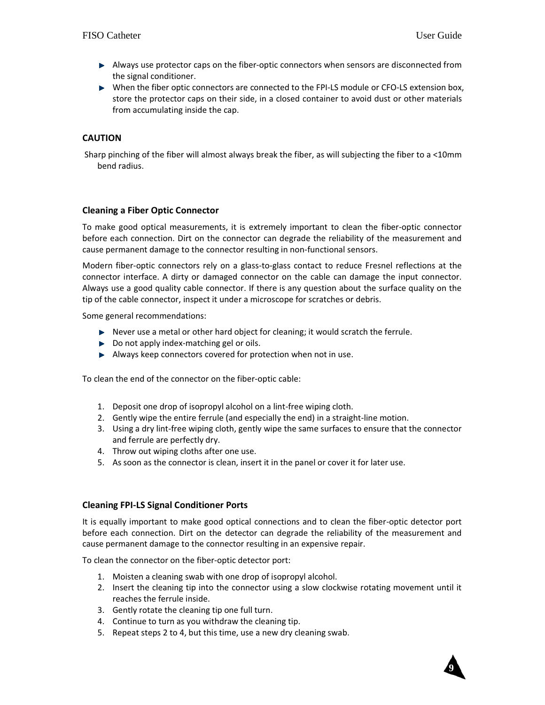- Always use protector caps on the fiber-optic connectors when sensors are disconnected from the signal conditioner.
- When the fiber optic connectors are connected to the FPI-LS module or CFO-LS extension box, store the protector caps on their side, in a closed container to avoid dust or other materials from accumulating inside the cap.

#### CAUTION

 Sharp pinching of the fiber will almost always break the fiber, as will subjecting the fiber to a <10mm bend radius.

#### Cleaning a Fiber Optic Connector

To make good optical measurements, it is extremely important to clean the fiber-optic connector before each connection. Dirt on the connector can degrade the reliability of the measurement and cause permanent damage to the connector resulting in non-functional sensors.

Modern fiber-optic connectors rely on a glass-to-glass contact to reduce Fresnel reflections at the connector interface. A dirty or damaged connector on the cable can damage the input connector. Always use a good quality cable connector. If there is any question about the surface quality on the tip of the cable connector, inspect it under a microscope for scratches or debris.

Some general recommendations:

- Never use a metal or other hard object for cleaning; it would scratch the ferrule.
- ▶ Do not apply index-matching gel or oils.
- Always keep connectors covered for protection when not in use.

To clean the end of the connector on the fiber-optic cable:

- 1. Deposit one drop of isopropyl alcohol on a lint-free wiping cloth.
- 2. Gently wipe the entire ferrule (and especially the end) in a straight-line motion.
- 3. Using a dry lint-free wiping cloth, gently wipe the same surfaces to ensure that the connector and ferrule are perfectly dry.
- 4. Throw out wiping cloths after one use.
- 5. As soon as the connector is clean, insert it in the panel or cover it for later use.

#### Cleaning FPI-LS Signal Conditioner Ports

It is equally important to make good optical connections and to clean the fiber-optic detector port before each connection. Dirt on the detector can degrade the reliability of the measurement and cause permanent damage to the connector resulting in an expensive repair.

To clean the connector on the fiber-optic detector port:

- 1. Moisten a cleaning swab with one drop of isopropyl alcohol.
- 2. Insert the cleaning tip into the connector using a slow clockwise rotating movement until it reaches the ferrule inside.
- 3. Gently rotate the cleaning tip one full turn.
- 4. Continue to turn as you withdraw the cleaning tip.
- 5. Repeat steps 2 to 4, but this time, use a new dry cleaning swab.

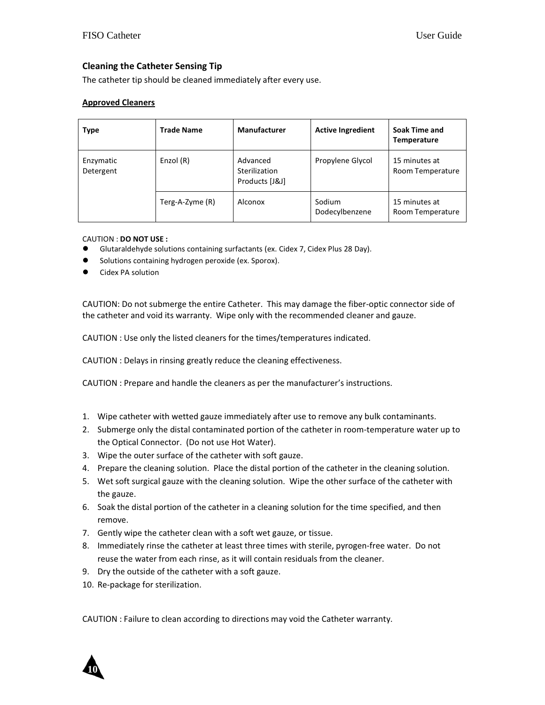#### Cleaning the Catheter Sensing Tip

The catheter tip should be cleaned immediately after every use.

#### Approved Cleaners

| <b>Type</b>            | <b>Trade Name</b> | <b>Manufacturer</b>                         | <b>Active Ingredient</b> | Soak Time and<br><b>Temperature</b> |
|------------------------|-------------------|---------------------------------------------|--------------------------|-------------------------------------|
| Enzymatic<br>Detergent | Enzol (R)         | Advanced<br>Sterilization<br>Products [J&J] | Propylene Glycol         | 15 minutes at<br>Room Temperature   |
|                        | Terg-A-Zyme (R)   | Alconox                                     | Sodium<br>Dodecylbenzene | 15 minutes at<br>Room Temperature   |

#### CAUTION : DO NOT USE :

- Glutaraldehyde solutions containing surfactants (ex. Cidex 7, Cidex Plus 28 Day).
- **Solutions containing hydrogen peroxide (ex. Sporox).**
- Cidex PA solution

CAUTION: Do not submerge the entire Catheter. This may damage the fiber-optic connector side of the catheter and void its warranty. Wipe only with the recommended cleaner and gauze.

CAUTION : Use only the listed cleaners for the times/temperatures indicated.

CAUTION : Delays in rinsing greatly reduce the cleaning effectiveness.

CAUTION : Prepare and handle the cleaners as per the manufacturer's instructions.

- 1. Wipe catheter with wetted gauze immediately after use to remove any bulk contaminants.
- 2. Submerge only the distal contaminated portion of the catheter in room-temperature water up to the Optical Connector. (Do not use Hot Water).
- 3. Wipe the outer surface of the catheter with soft gauze.
- 4. Prepare the cleaning solution. Place the distal portion of the catheter in the cleaning solution.
- 5. Wet soft surgical gauze with the cleaning solution. Wipe the other surface of the catheter with the gauze.
- 6. Soak the distal portion of the catheter in a cleaning solution for the time specified, and then remove.
- 7. Gently wipe the catheter clean with a soft wet gauze, or tissue.
- 8. Immediately rinse the catheter at least three times with sterile, pyrogen-free water. Do not reuse the water from each rinse, as it will contain residuals from the cleaner.
- 9. Dry the outside of the catheter with a soft gauze.
- 10. Re-package for sterilization.

CAUTION : Failure to clean according to directions may void the Catheter warranty.

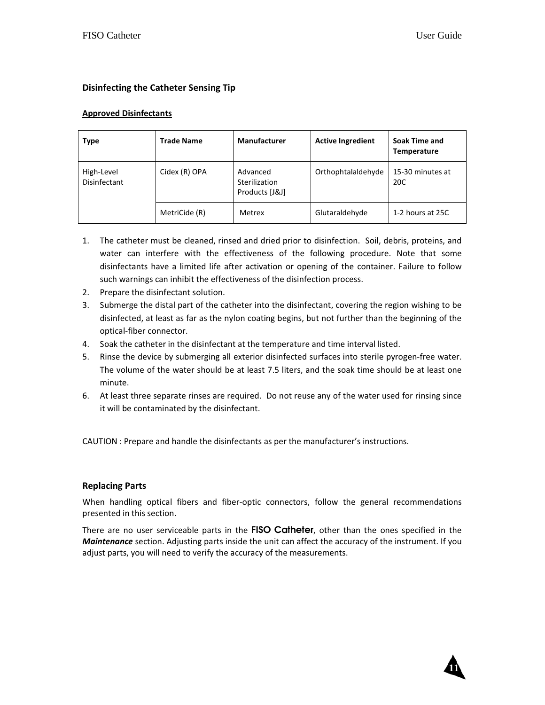#### Disinfecting the Catheter Sensing Tip

#### Approved Disinfectants

| <b>Type</b>                | <b>Trade Name</b> | <b>Manufacturer</b>                         | <b>Active Ingredient</b> | Soak Time and<br><b>Temperature</b> |
|----------------------------|-------------------|---------------------------------------------|--------------------------|-------------------------------------|
| High-Level<br>Disinfectant | Cidex (R) OPA     | Advanced<br>Sterilization<br>Products [J&J] | Orthophtalaldehyde       | 15-30 minutes at<br>20C             |
|                            | MetriCide (R)     | Metrex                                      | Glutaraldehyde           | 1-2 hours at 25C                    |

- 1. The catheter must be cleaned, rinsed and dried prior to disinfection. Soil, debris, proteins, and water can interfere with the effectiveness of the following procedure. Note that some disinfectants have a limited life after activation or opening of the container. Failure to follow such warnings can inhibit the effectiveness of the disinfection process.
- 2. Prepare the disinfectant solution.
- 3. Submerge the distal part of the catheter into the disinfectant, covering the region wishing to be disinfected, at least as far as the nylon coating begins, but not further than the beginning of the optical-fiber connector.
- 4. Soak the catheter in the disinfectant at the temperature and time interval listed.
- 5. Rinse the device by submerging all exterior disinfected surfaces into sterile pyrogen-free water. The volume of the water should be at least 7.5 liters, and the soak time should be at least one minute.
- 6. At least three separate rinses are required. Do not reuse any of the water used for rinsing since it will be contaminated by the disinfectant.

CAUTION : Prepare and handle the disinfectants as per the manufacturer's instructions.

#### Replacing Parts

When handling optical fibers and fiber-optic connectors, follow the general recommendations presented in this section.

There are no user serviceable parts in the FISO Catheter, other than the ones specified in the Maintenance section. Adjusting parts inside the unit can affect the accuracy of the instrument. If you adjust parts, you will need to verify the accuracy of the measurements.

**11**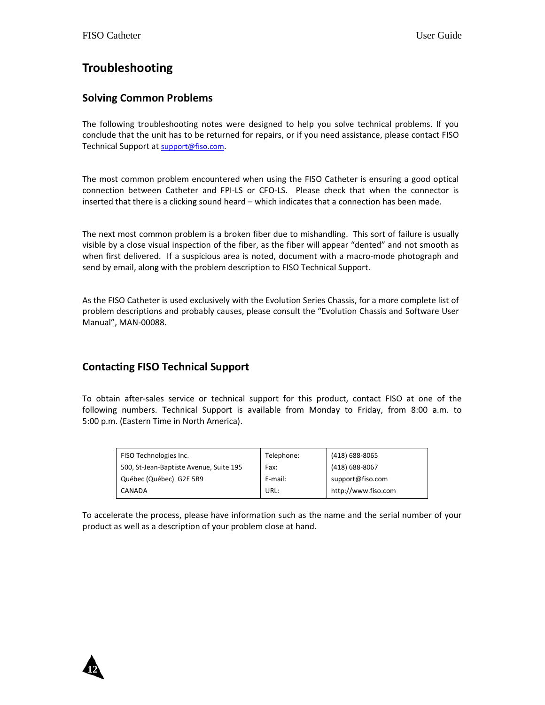# Troubleshooting

## Solving Common Problems

The following troubleshooting notes were designed to help you solve technical problems. If you conclude that the unit has to be returned for repairs, or if you need assistance, please contact FISO Technical Support at support@fiso.com.

The most common problem encountered when using the FISO Catheter is ensuring a good optical connection between Catheter and FPI-LS or CFO-LS. Please check that when the connector is inserted that there is a clicking sound heard – which indicates that a connection has been made.

The next most common problem is a broken fiber due to mishandling. This sort of failure is usually visible by a close visual inspection of the fiber, as the fiber will appear "dented" and not smooth as when first delivered. If a suspicious area is noted, document with a macro-mode photograph and send by email, along with the problem description to FISO Technical Support.

As the FISO Catheter is used exclusively with the Evolution Series Chassis, for a more complete list of problem descriptions and probably causes, please consult the "Evolution Chassis and Software User Manual", MAN-00088.

## Contacting FISO Technical Support

To obtain after-sales service or technical support for this product, contact FISO at one of the following numbers. Technical Support is available from Monday to Friday, from 8:00 a.m. to 5:00 p.m. (Eastern Time in North America).

| FISO Technologies Inc.                  | Telephone: | (418) 688-8065      |
|-----------------------------------------|------------|---------------------|
| 500, St-Jean-Baptiste Avenue, Suite 195 | Fax:       | (418) 688-8067      |
| Québec (Québec) G2E 5R9                 | E-mail:    | support@fiso.com    |
| CANADA                                  | URL:       | http://www.fiso.com |

To accelerate the process, please have information such as the name and the serial number of your product as well as a description of your problem close at hand.

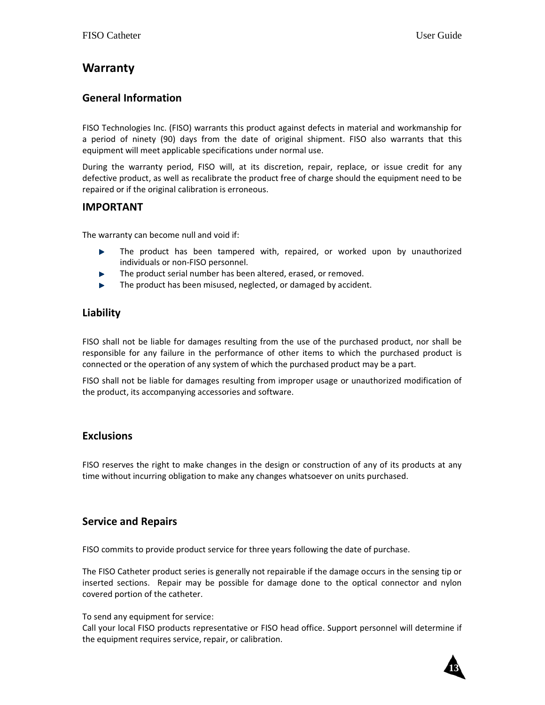## Warranty

## General Information

FISO Technologies Inc. (FISO) warrants this product against defects in material and workmanship for a period of ninety (90) days from the date of original shipment. FISO also warrants that this equipment will meet applicable specifications under normal use.

During the warranty period, FISO will, at its discretion, repair, replace, or issue credit for any defective product, as well as recalibrate the product free of charge should the equipment need to be repaired or if the original calibration is erroneous.

### IMPORTANT

The warranty can become null and void if:

- The product has been tampered with, repaired, or worked upon by unauthorized b. individuals or non-FISO personnel.
- The product serial number has been altered, erased, or removed.
- The product has been misused, neglected, or damaged by accident.

## Liability

FISO shall not be liable for damages resulting from the use of the purchased product, nor shall be responsible for any failure in the performance of other items to which the purchased product is connected or the operation of any system of which the purchased product may be a part.

FISO shall not be liable for damages resulting from improper usage or unauthorized modification of the product, its accompanying accessories and software.

## Exclusions

FISO reserves the right to make changes in the design or construction of any of its products at any time without incurring obligation to make any changes whatsoever on units purchased.

## Service and Repairs

FISO commits to provide product service for three years following the date of purchase.

The FISO Catheter product series is generally not repairable if the damage occurs in the sensing tip or inserted sections. Repair may be possible for damage done to the optical connector and nylon covered portion of the catheter.

To send any equipment for service:

Call your local FISO products representative or FISO head office. Support personnel will determine if the equipment requires service, repair, or calibration.